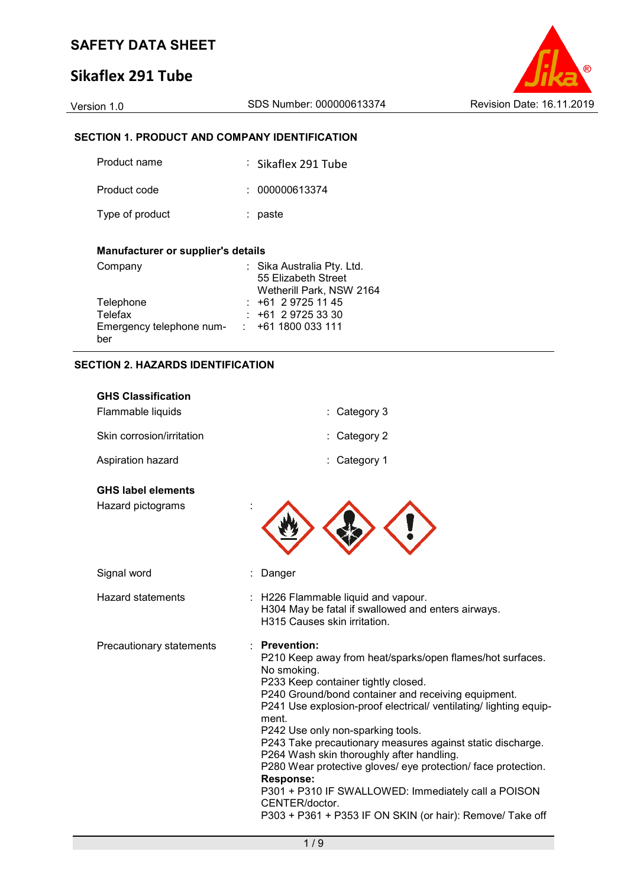# **Sikaflex 291 Tube**



## **SECTION 1. PRODUCT AND COMPANY IDENTIFICATION**

| Product name    | $\therefore$ Sikaflex 291 Tube |
|-----------------|--------------------------------|
| Product code    | : 000000613374                 |
| Type of product | : paste                        |

### **Manufacturer or supplier's details**

| Company                  | : Sika Australia Pty. Ltd. |  |  |
|--------------------------|----------------------------|--|--|
|                          | 55 Elizabeth Street        |  |  |
|                          | Wetherill Park, NSW 2164   |  |  |
| Telephone                | $: +61297251145$           |  |  |
| Telefax                  | $: +61297253330$           |  |  |
| Emergency telephone num- | $: +611800033111$          |  |  |
| ber                      |                            |  |  |

### **SECTION 2. HAZARDS IDENTIFICATION**

| <b>GHS Classification</b><br>Flammable liquids | Category 3                                                                                                                                                                                                                                                                                                                                                                                                                                                                                                                                                                                                                                            |
|------------------------------------------------|-------------------------------------------------------------------------------------------------------------------------------------------------------------------------------------------------------------------------------------------------------------------------------------------------------------------------------------------------------------------------------------------------------------------------------------------------------------------------------------------------------------------------------------------------------------------------------------------------------------------------------------------------------|
|                                                |                                                                                                                                                                                                                                                                                                                                                                                                                                                                                                                                                                                                                                                       |
| Skin corrosion/irritation                      | Category 2                                                                                                                                                                                                                                                                                                                                                                                                                                                                                                                                                                                                                                            |
| Aspiration hazard                              | Category 1                                                                                                                                                                                                                                                                                                                                                                                                                                                                                                                                                                                                                                            |
| <b>GHS label elements</b>                      |                                                                                                                                                                                                                                                                                                                                                                                                                                                                                                                                                                                                                                                       |
| Hazard pictograms                              |                                                                                                                                                                                                                                                                                                                                                                                                                                                                                                                                                                                                                                                       |
| Signal word                                    | Danger                                                                                                                                                                                                                                                                                                                                                                                                                                                                                                                                                                                                                                                |
| <b>Hazard statements</b>                       | : H226 Flammable liquid and vapour.<br>H304 May be fatal if swallowed and enters airways.<br>H315 Causes skin irritation.                                                                                                                                                                                                                                                                                                                                                                                                                                                                                                                             |
| Precautionary statements                       | <b>Prevention:</b><br>P210 Keep away from heat/sparks/open flames/hot surfaces.<br>No smoking.<br>P233 Keep container tightly closed.<br>P240 Ground/bond container and receiving equipment.<br>P241 Use explosion-proof electrical/ ventilating/ lighting equip-<br>ment.<br>P242 Use only non-sparking tools.<br>P243 Take precautionary measures against static discharge.<br>P264 Wash skin thoroughly after handling.<br>P280 Wear protective gloves/ eye protection/ face protection.<br><b>Response:</b><br>P301 + P310 IF SWALLOWED: Immediately call a POISON<br>CENTER/doctor.<br>P303 + P361 + P353 IF ON SKIN (or hair): Remove/ Take off |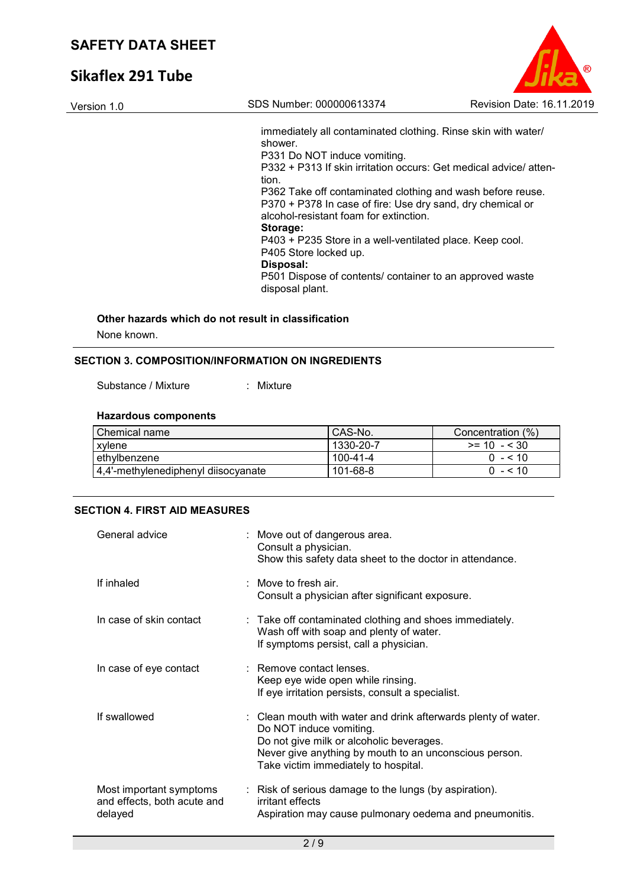# **Sikaflex 291 Tube**

| (R                        |
|---------------------------|
| Revision Date: 16.11.2019 |

immediately all contaminated clothing. Rinse skin with water/ shower. P331 Do NOT induce vomiting. P332 + P313 If skin irritation occurs: Get medical advice/ attention. P362 Take off contaminated clothing and wash before reuse. P370 + P378 In case of fire: Use dry sand, dry chemical or alcohol-resistant foam for extinction. **Storage:**  P403 + P235 Store in a well-ventilated place. Keep cool. P405 Store locked up. **Disposal:**  P501 Dispose of contents/ container to an approved waste disposal plant.

# **Other hazards which do not result in classification**

Version 1.0 SDS Number: 000000613374

None known.

### **SECTION 3. COMPOSITION/INFORMATION ON INGREDIENTS**

Substance / Mixture : Mixture

#### **Hazardous components**

| Chemical name                       | CAS-No.   | Concentration (%) |
|-------------------------------------|-----------|-------------------|
| xvlene                              | 1330-20-7 | $>= 10 - 530$     |
| ethylbenzene                        | 100-41-4  | $0 - 10$          |
| 4.4'-methylenediphenyl diisocyanate | 101-68-8  | $0 - 510$         |

### **SECTION 4. FIRST AID MEASURES**

| General advice                                                    | : Move out of dangerous area.<br>Consult a physician.<br>Show this safety data sheet to the doctor in attendance.                                                                                                                       |
|-------------------------------------------------------------------|-----------------------------------------------------------------------------------------------------------------------------------------------------------------------------------------------------------------------------------------|
| If inhaled                                                        | $:$ Move to fresh air.<br>Consult a physician after significant exposure.                                                                                                                                                               |
| In case of skin contact                                           | : Take off contaminated clothing and shoes immediately.<br>Wash off with soap and plenty of water.<br>If symptoms persist, call a physician.                                                                                            |
| In case of eye contact                                            | : Remove contact lenses.<br>Keep eye wide open while rinsing.<br>If eye irritation persists, consult a specialist.                                                                                                                      |
| If swallowed                                                      | : Clean mouth with water and drink afterwards plenty of water.<br>Do NOT induce vomiting.<br>Do not give milk or alcoholic beverages.<br>Never give anything by mouth to an unconscious person.<br>Take victim immediately to hospital. |
| Most important symptoms<br>and effects, both acute and<br>delayed | : Risk of serious damage to the lungs (by aspiration).<br>irritant effects<br>Aspiration may cause pulmonary oedema and pneumonitis.                                                                                                    |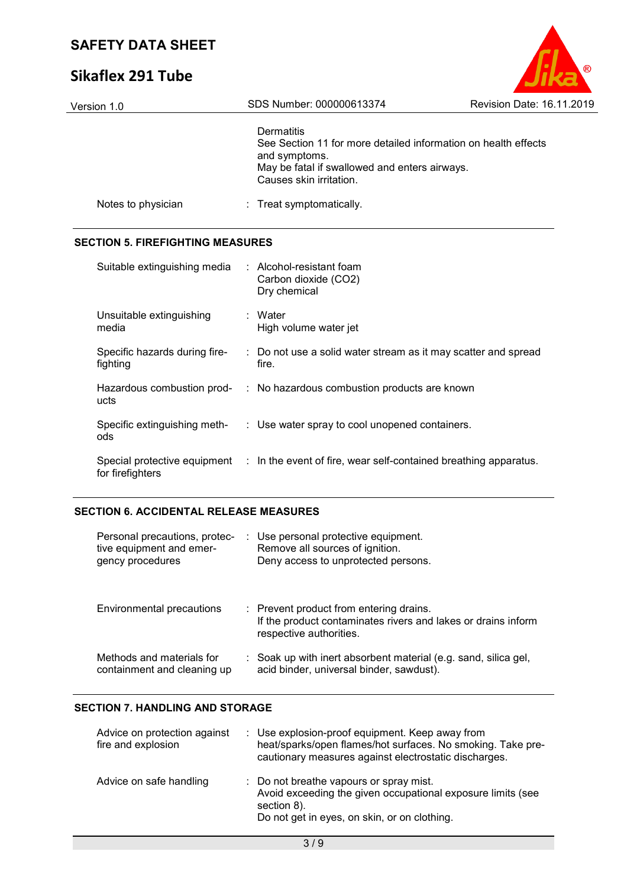# **Sikaflex 291 Tube**

| Version 1.0        | SDS Number: 000000613374                                                                                                                                                  | <b>Revision Date: 16.11.2019</b> |
|--------------------|---------------------------------------------------------------------------------------------------------------------------------------------------------------------------|----------------------------------|
|                    | Dermatitis<br>See Section 11 for more detailed information on health effects<br>and symptoms.<br>May be fatal if swallowed and enters airways.<br>Causes skin irritation. |                                  |
| Notes to physician | : Treat symptomatically.                                                                                                                                                  |                                  |

R

## **SECTION 5. FIREFIGHTING MEASURES**

| Suitable extinguishing media                     | : Alcohol-resistant foam<br>Carbon dioxide (CO2)<br>Dry chemical        |
|--------------------------------------------------|-------------------------------------------------------------------------|
| Unsuitable extinguishing<br>media                | : Water<br>High volume water jet                                        |
| Specific hazards during fire-<br>fighting        | : Do not use a solid water stream as it may scatter and spread<br>fire. |
| ucts                                             | Hazardous combustion prod- : No hazardous combustion products are known |
| Specific extinguishing meth-<br>ods              | : Use water spray to cool unopened containers.                          |
| Special protective equipment<br>for firefighters | : In the event of fire, wear self-contained breathing apparatus.        |

## **SECTION 6. ACCIDENTAL RELEASE MEASURES**

| Personal precautions, protec-<br>tive equipment and emer-<br>gency procedures | : Use personal protective equipment.<br>Remove all sources of ignition.<br>Deny access to unprotected persons.                      |
|-------------------------------------------------------------------------------|-------------------------------------------------------------------------------------------------------------------------------------|
| Environmental precautions                                                     | : Prevent product from entering drains.<br>If the product contaminates rivers and lakes or drains inform<br>respective authorities. |
| Methods and materials for<br>containment and cleaning up                      | : Soak up with inert absorbent material (e.g. sand, silica gel,<br>acid binder, universal binder, sawdust).                         |

### **SECTION 7. HANDLING AND STORAGE**

| Advice on protection against<br>fire and explosion | : Use explosion-proof equipment. Keep away from<br>heat/sparks/open flames/hot surfaces. No smoking. Take pre-<br>cautionary measures against electrostatic discharges. |
|----------------------------------------------------|-------------------------------------------------------------------------------------------------------------------------------------------------------------------------|
| Advice on safe handling                            | : Do not breathe vapours or spray mist.<br>Avoid exceeding the given occupational exposure limits (see<br>section 8).<br>Do not get in eyes, on skin, or on clothing.   |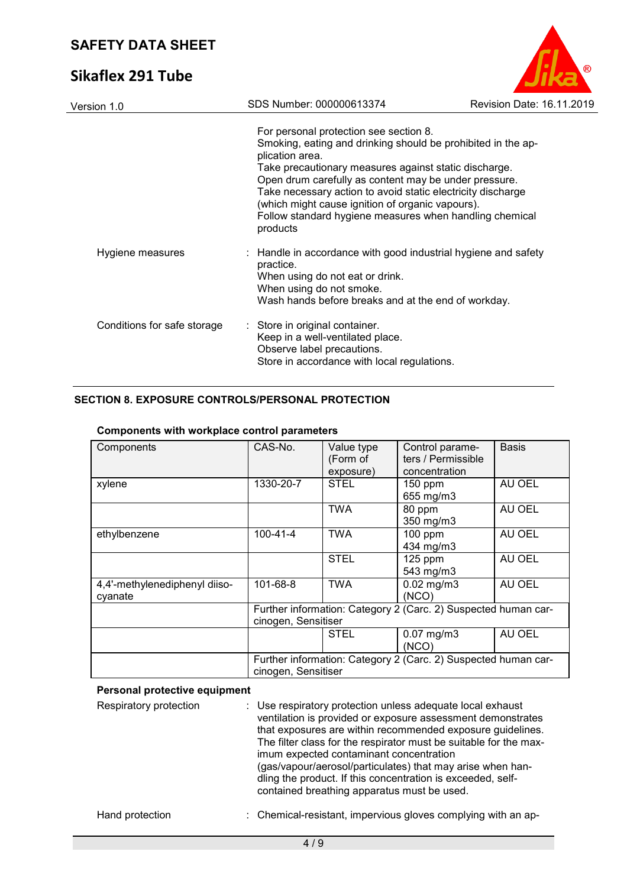# **Sikaflex 291 Tube**



| SDS Number: 000000613374                                                                                                                                                                                                                                                                                                                                                                                                              | Revision Date: 16.11.2019 |
|---------------------------------------------------------------------------------------------------------------------------------------------------------------------------------------------------------------------------------------------------------------------------------------------------------------------------------------------------------------------------------------------------------------------------------------|---------------------------|
| For personal protection see section 8.<br>Smoking, eating and drinking should be prohibited in the ap-<br>plication area.<br>Take precautionary measures against static discharge.<br>Open drum carefully as content may be under pressure.<br>Take necessary action to avoid static electricity discharge<br>(which might cause ignition of organic vapours).<br>Follow standard hygiene measures when handling chemical<br>products |                           |
| : Handle in accordance with good industrial hygiene and safety<br>practice.<br>When using do not eat or drink.<br>When using do not smoke.<br>Wash hands before breaks and at the end of workday.                                                                                                                                                                                                                                     |                           |
| : Store in original container.<br>Keep in a well-ventilated place.<br>Observe label precautions.<br>Store in accordance with local regulations.                                                                                                                                                                                                                                                                                       |                           |
|                                                                                                                                                                                                                                                                                                                                                                                                                                       |                           |

### **SECTION 8. EXPOSURE CONTROLS/PERSONAL PROTECTION**

| Components                               | CAS-No.                                                                               | Value type<br>(Form of | Control parame-<br>ters / Permissible | <b>Basis</b> |  |
|------------------------------------------|---------------------------------------------------------------------------------------|------------------------|---------------------------------------|--------------|--|
|                                          |                                                                                       | exposure)              | concentration                         |              |  |
| xylene                                   | 1330-20-7                                                                             | <b>STEL</b>            | $150$ ppm<br>655 mg/m3                | AU OEL       |  |
|                                          |                                                                                       | <b>TWA</b>             | 80 ppm<br>350 mg/m3                   | AU OEL       |  |
| ethylbenzene                             | $100 - 41 - 4$                                                                        | <b>TWA</b>             | $100$ ppm<br>434 mg/m3                | AU OEL       |  |
|                                          |                                                                                       | <b>STEL</b>            | $125$ ppm<br>543 mg/m3                | AU OEL       |  |
| 4,4'-methylenediphenyl diiso-<br>cyanate | 101-68-8                                                                              | <b>TWA</b>             | $0.02$ mg/m $3$<br>(NCO)              | AU OEL       |  |
|                                          | Further information: Category 2 (Carc. 2) Suspected human car-<br>cinogen, Sensitiser |                        |                                       |              |  |
|                                          |                                                                                       | <b>STEL</b>            | $0.07$ mg/m $3$<br>(NCO)              | AU OEL       |  |
|                                          | Further information: Category 2 (Carc. 2) Suspected human car-<br>cinogen, Sensitiser |                        |                                       |              |  |

#### **Components with workplace control parameters**

## **Personal protective equipment**

| Respiratory protection | : Use respiratory protection unless adequate local exhaust<br>ventilation is provided or exposure assessment demonstrates<br>that exposures are within recommended exposure guidelines.<br>The filter class for the respirator must be suitable for the max-<br>imum expected contaminant concentration<br>(gas/vapour/aerosol/particulates) that may arise when han-<br>dling the product. If this concentration is exceeded, self-<br>contained breathing apparatus must be used. |
|------------------------|-------------------------------------------------------------------------------------------------------------------------------------------------------------------------------------------------------------------------------------------------------------------------------------------------------------------------------------------------------------------------------------------------------------------------------------------------------------------------------------|
|                        |                                                                                                                                                                                                                                                                                                                                                                                                                                                                                     |

## Hand protection : Chemical-resistant, impervious gloves complying with an ap-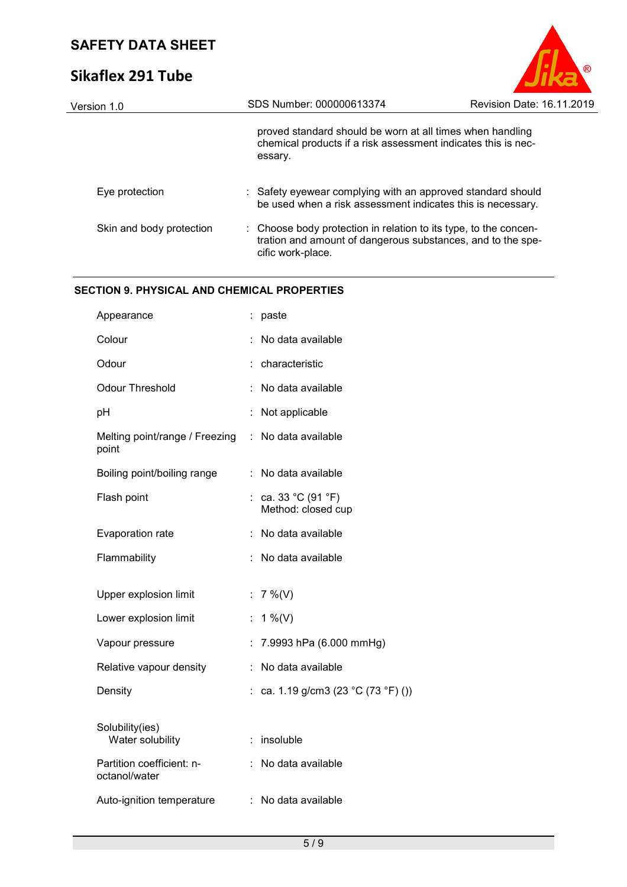# **Sikaflex 291 Tube**



| Version 1.0              | SDS Number: 000000613374                                                                                                                             | Revision Date: 16.11.2019 |
|--------------------------|------------------------------------------------------------------------------------------------------------------------------------------------------|---------------------------|
|                          | proved standard should be worn at all times when handling<br>chemical products if a risk assessment indicates this is nec-<br>essary.                |                           |
| Eye protection           | : Safety eyewear complying with an approved standard should<br>be used when a risk assessment indicates this is necessary.                           |                           |
| Skin and body protection | : Choose body protection in relation to its type, to the concen-<br>tration and amount of dangerous substances, and to the spe-<br>cific work-place. |                           |

## **SECTION 9. PHYSICAL AND CHEMICAL PROPERTIES**

|                                | paste                                     |
|--------------------------------|-------------------------------------------|
|                                | No data available                         |
|                                | characteristic                            |
|                                | No data available                         |
| ÷                              | Not applicable                            |
| Melting point/range / Freezing | No data available                         |
| ÷                              | No data available                         |
|                                | : ca. 33 °C (91 °F)<br>Method: closed cup |
|                                | No data available                         |
|                                | No data available                         |
|                                |                                           |
|                                | : $7\%$ (V)                               |
| t,                             | $1\%$ (V)                                 |
|                                | 7.9993 hPa (6.000 mmHg)                   |
|                                | No data available                         |
|                                | ca. 1.19 g/cm3 (23 °C (73 °F) ())         |
|                                |                                           |
| ÷                              | insoluble                                 |
|                                | No data available                         |
|                                | : No data available                       |
|                                |                                           |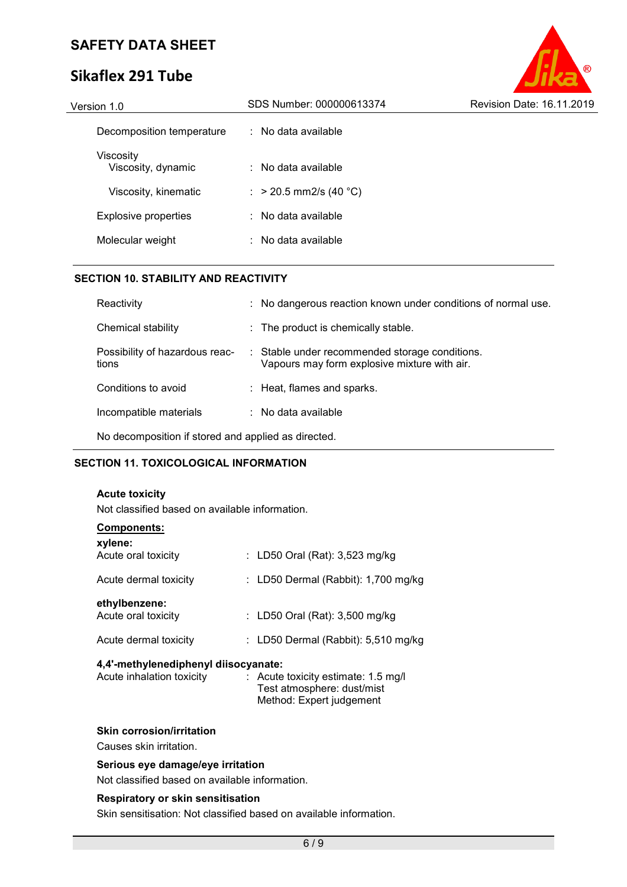# **Sikaflex 291 Tube**

| Version 1.0                     | SDS Number: 000000613374       | Revision Date: 16.11.2019 |
|---------------------------------|--------------------------------|---------------------------|
| Decomposition temperature       | $\therefore$ No data available |                           |
| Viscosity<br>Viscosity, dynamic | $\therefore$ No data available |                           |
| Viscosity, kinematic            | : > 20.5 mm2/s (40 °C)         |                           |
| <b>Explosive properties</b>     | $\therefore$ No data available |                           |
| Molecular weight                | $\therefore$ No data available |                           |
|                                 |                                |                           |

 $^{\circ}$ 

### **SECTION 10. STABILITY AND REACTIVITY**

| Reactivity                                          |  | : No dangerous reaction known under conditions of normal use.                                  |
|-----------------------------------------------------|--|------------------------------------------------------------------------------------------------|
| Chemical stability                                  |  | : The product is chemically stable.                                                            |
| Possibility of hazardous reac-<br>tions             |  | : Stable under recommended storage conditions.<br>Vapours may form explosive mixture with air. |
| Conditions to avoid                                 |  | : Heat, flames and sparks.                                                                     |
| Incompatible materials                              |  | $:$ No data available                                                                          |
| No decomposition if stored and applied as directed. |  |                                                                                                |

### **SECTION 11. TOXICOLOGICAL INFORMATION**

**Acute toxicity** 

| Not classified based on available information.<br>Components:<br>xylene:<br>: LD50 Oral (Rat): 3,523 mg/kg<br>Acute oral toxicity<br>: LD50 Dermal (Rabbit): $1,700$ mg/kg<br>Acute dermal toxicity<br>ethylbenzene:<br>: LD50 Oral (Rat): 3,500 mg/kg<br>Acute oral toxicity<br>: LD50 Dermal (Rabbit): $5,510$ mg/kg<br>Acute dermal toxicity<br>4,4'-methylenediphenyl diisocyanate:<br>Acute inhalation toxicity<br>: Acute toxicity estimate: $1.5 \text{ mg/l}$<br>Test atmosphere: dust/mist<br>Method: Expert judgement | AVULV LUAIVILY |  |  |  |  |
|---------------------------------------------------------------------------------------------------------------------------------------------------------------------------------------------------------------------------------------------------------------------------------------------------------------------------------------------------------------------------------------------------------------------------------------------------------------------------------------------------------------------------------|----------------|--|--|--|--|
|                                                                                                                                                                                                                                                                                                                                                                                                                                                                                                                                 |                |  |  |  |  |
|                                                                                                                                                                                                                                                                                                                                                                                                                                                                                                                                 |                |  |  |  |  |
|                                                                                                                                                                                                                                                                                                                                                                                                                                                                                                                                 |                |  |  |  |  |
|                                                                                                                                                                                                                                                                                                                                                                                                                                                                                                                                 |                |  |  |  |  |
|                                                                                                                                                                                                                                                                                                                                                                                                                                                                                                                                 |                |  |  |  |  |
|                                                                                                                                                                                                                                                                                                                                                                                                                                                                                                                                 |                |  |  |  |  |

## **Skin corrosion/irritation**

Causes skin irritation.

## **Serious eye damage/eye irritation**

Not classified based on available information.

### **Respiratory or skin sensitisation**

Skin sensitisation: Not classified based on available information.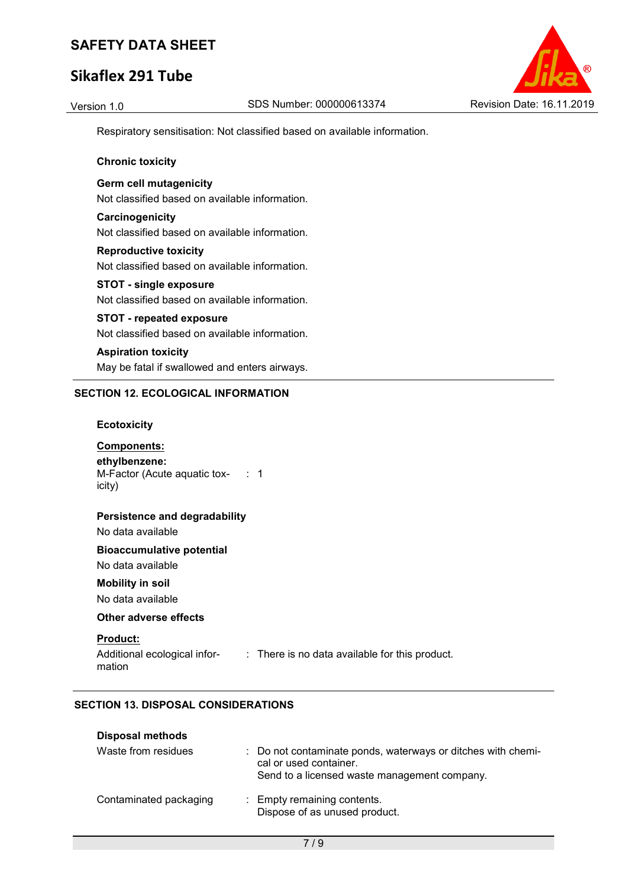# **Sikaflex 291 Tube**



Respiratory sensitisation: Not classified based on available information.

### **Chronic toxicity**

**Germ cell mutagenicity**  Not classified based on available information.

## **Carcinogenicity**  Not classified based on available information.

**Reproductive toxicity**  Not classified based on available information.

### **STOT - single exposure**  Not classified based on available information.

# **STOT - repeated exposure**

Not classified based on available information.

## **Aspiration toxicity**  May be fatal if swallowed and enters airways.

### **SECTION 12. ECOLOGICAL INFORMATION**

#### **Ecotoxicity**

## **Components:**

## **ethylbenzene:**

M-Factor (Acute aquatic toxicity) : 1

### **Persistence and degradability**

No data available

### **Bioaccumulative potential**

No data available

### **Mobility in soil**

No data available

## **Other adverse effects**

**Product:**  Additional ecological infor-

mation

: There is no data available for this product.

### **SECTION 13. DISPOSAL CONSIDERATIONS**

| <b>Disposal methods</b> |                                                                                                                                        |
|-------------------------|----------------------------------------------------------------------------------------------------------------------------------------|
| Waste from residues     | : Do not contaminate ponds, waterways or ditches with chemi-<br>cal or used container.<br>Send to a licensed waste management company. |
| Contaminated packaging  | : Empty remaining contents.<br>Dispose of as unused product.                                                                           |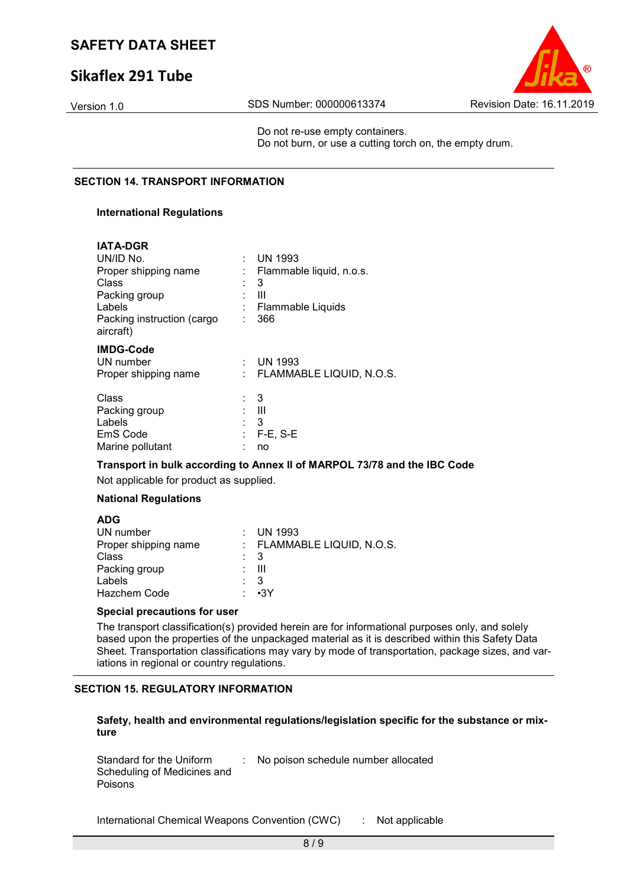# **Sikaflex 291 Tube**

Version 1.0 SDS Number: 000000613374 Revision Date: 16.11.2019

Do not re-use empty containers. Do not burn, or use a cutting torch on, the empty drum.

### **SECTION 14. TRANSPORT INFORMATION**

#### **International Regulations**

**IATA-DGR**

| <b>UN 1993</b><br>t.<br>Flammable liquid, n.o.s.<br>3<br>Ш<br>Flammable Liquids |
|---------------------------------------------------------------------------------|
|                                                                                 |
|                                                                                 |
|                                                                                 |
|                                                                                 |
|                                                                                 |
| 366                                                                             |
|                                                                                 |
| <b>UN 1993</b>                                                                  |
| FLAMMABLE LIQUID, N.O.S.<br>t.                                                  |
| - 3                                                                             |
| Ш                                                                               |
| 3                                                                               |
| $F-E$ , S-E                                                                     |
| no                                                                              |
|                                                                                 |

### **Transport in bulk according to Annex II of MARPOL 73/78 and the IBC Code**

Not applicable for product as supplied.

### **National Regulations**

#### **ADG**

| UN number<br>Proper shipping name<br>Class | $\therefore$ 3 | $\therefore$ UN 1993<br>: FLAMMABLE LIQUID, N.O.S.<br>: III |
|--------------------------------------------|----------------|-------------------------------------------------------------|
| Packing group<br>Labels<br>Hazchem Code    | $\therefore$ 3 | : 3Y                                                        |

### **Special precautions for user**

The transport classification(s) provided herein are for informational purposes only, and solely based upon the properties of the unpackaged material as it is described within this Safety Data Sheet. Transportation classifications may vary by mode of transportation, package sizes, and variations in regional or country regulations.

### **SECTION 15. REGULATORY INFORMATION**

**Safety, health and environmental regulations/legislation specific for the substance or mixture** 

| Standard for the Uniform    | : No poison schedule number allocated |
|-----------------------------|---------------------------------------|
| Scheduling of Medicines and |                                       |
| <b>Poisons</b>              |                                       |

International Chemical Weapons Convention (CWC) : Not applicable